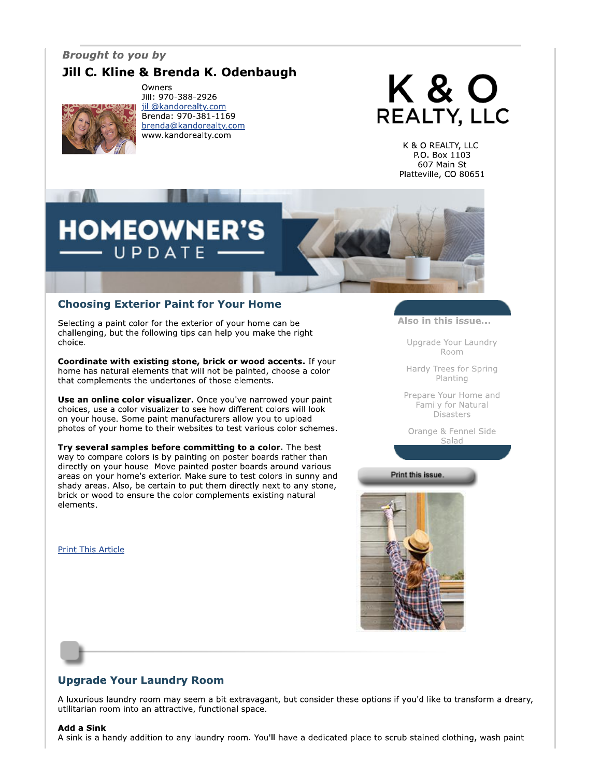## **Brought to you by**

# Jill C. Kline & Brenda K. Odenbaugh



Owners Jill: 970-388-2926 jill@kandorealty.com Brenda: 970-381-1169 brenda@kandorealty.com www.kandorealty.com



K & O REALTY, LLC P.O. Box 1103 607 Main St Platteville, CO 80651



### **Choosing Exterior Paint for Your Home**

Selecting a paint color for the exterior of your home can be challenging, but the following tips can help you make the right choice.

Coordinate with existing stone, brick or wood accents. If your home has natural elements that will not be painted, choose a color that complements the undertones of those elements.

Use an online color visualizer. Once you've narrowed your paint choices, use a color visualizer to see how different colors will look on your house. Some paint manufacturers allow you to upload photos of your home to their websites to test various color schemes.

Try several samples before committing to a color. The best way to compare colors is by painting on poster boards rather than directly on your house. Move painted poster boards around various areas on your home's exterior. Make sure to test colors in sunny and shady areas. Also, be certain to put them directly next to any stone, brick or wood to ensure the color complements existing natural elements.

**Print This Article** 

Also in this issue...

Upgrade Your Laundry Room

Hardy Trees for Spring Planting

Prepare Your Home and Family for Natural **Disasters** 

Orange & Fennel Side Salad

Print this issue.



# **Upgrade Your Laundry Room**

A luxurious laundry room may seem a bit extravagant, but consider these options if you'd like to transform a dreary, utilitarian room into an attractive, functional space.

### **Add a Sink**

A sink is a handy addition to any laundry room. You'll have a dedicated place to scrub stained clothing, wash paint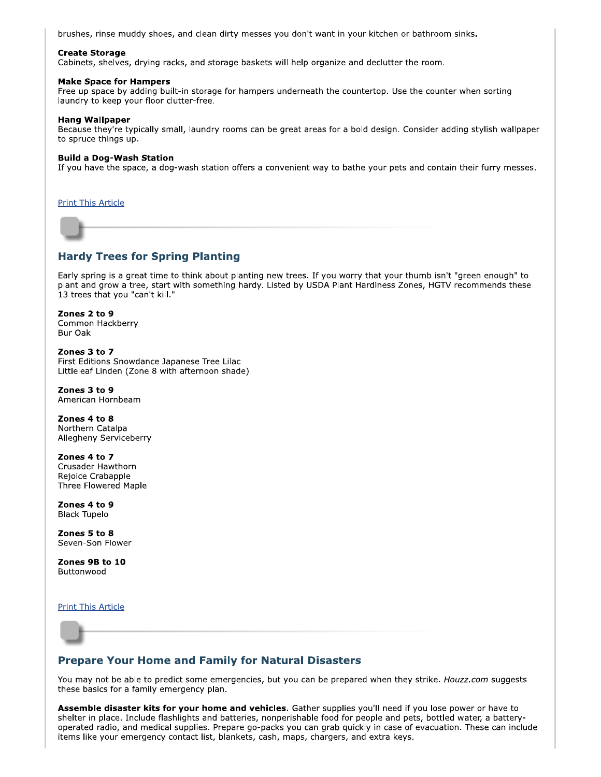brushes, rinse muddy shoes, and clean dirty messes you don't want in your kitchen or bathroom sinks.

### **Create Storage**

Cabinets, shelves, drying racks, and storage baskets will help organize and declutter the room.

#### **Make Space for Hampers**

Free up space by adding built-in storage for hampers underneath the countertop. Use the counter when sorting laundry to keep your floor clutter-free.

### **Hang Wallpaper**

Because they're typically small, laundry rooms can be great areas for a bold design. Consider adding stylish wallpaper to spruce things up.

### **Build a Dog-Wash Station**

If you have the space, a dog-wash station offers a convenient way to bathe your pets and contain their furry messes.

**Print This Article** 

### **Hardy Trees for Spring Planting**

Early spring is a great time to think about planting new trees. If you worry that your thumb isn't "green enough" to plant and grow a tree, start with something hardy. Listed by USDA Plant Hardiness Zones, HGTV recommends these 13 trees that you "can't kill."

#### Zones 2 to 9 Common Hackberry Bur Oak

Zones 3 to 7 First Editions Snowdance Japanese Tree Lilac Littleleaf Linden (Zone 8 with afternoon shade)

Zones 3 to 9 American Hornbeam

Zones 4 to 8 Northern Catalpa Allegheny Serviceberry

Zones 4 to 7 Crusader Hawthorn Rejoice Crabapple Three Flowered Maple

Zones 4 to 9 **Black Tupelo** 

Zones 5 to 8 Seven-Son Flower

Zones 9B to 10 Buttonwood

**Print This Article** 

### **Prepare Your Home and Family for Natural Disasters**

You may not be able to predict some emergencies, but you can be prepared when they strike. Houzz.com suggests these basics for a family emergency plan.

Assemble disaster kits for your home and vehicles. Gather supplies you'll need if you lose power or have to shelter in place. Include flashlights and batteries, nonperishable food for people and pets, bottled water, a batteryoperated radio, and medical supplies. Prepare go-packs you can grab quickly in case of evacuation. These can include items like your emergency contact list, blankets, cash, maps, chargers, and extra keys.